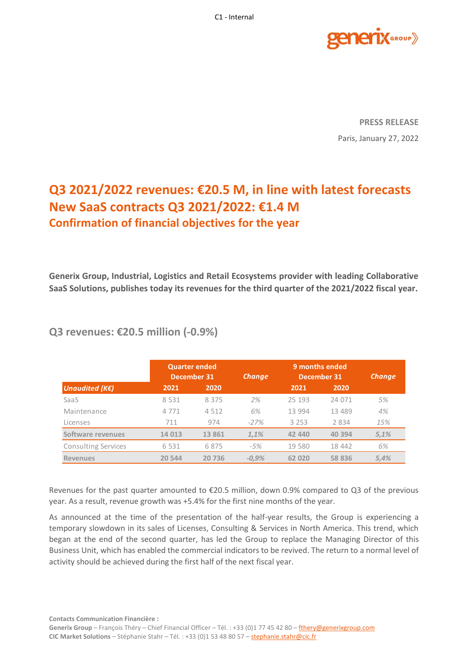

**PRESS RELEASE** Paris, January 27, 2022

# **Q3 2021/2022 revenues: €20.5 M, in line with latest forecasts New SaaS contracts Q3 2021/2022: €1.4 M Confirmation of financial objectives for the year**

**Generix Group, Industrial, Logistics and Retail Ecosystems provider with leading Collaborative SaaS Solutions, publishes today its revenues for the third quarter of the 2021/2022 fiscal year.**

|                            |         | <b>Quarter ended</b><br>December 31 |         | 9 months ended<br>December 31 |          | <b>Change</b> |
|----------------------------|---------|-------------------------------------|---------|-------------------------------|----------|---------------|
| Unaudited (KE)             | 2021    | 2020                                |         | 2021                          | 2020     |               |
| SaaS                       | 8 5 3 1 | 8 3 7 5                             | 2%      | 25 193                        | 24 071   | 5%            |
| Maintenance                | 4771    | 4512                                | 6%      | 13 994                        | 13 4 8 9 | 4%            |
| Licenses                   | 711     | 974                                 | $-27%$  | 3 2 5 3                       | 2 8 3 4  | 15%           |
| Software revenues          | 14 013  | 13 861                              | 1,1%    | 42 440                        | 40 394   | 5,1%          |
| <b>Consulting Services</b> | 6 5 3 1 | 6875                                | $-5%$   | 19 5 80                       | 18 442   | 6%            |
| <b>Revenues</b>            | 20 544  | 20 736                              | $-0.9%$ | 62 020                        | 58 836   | 5,4%          |

## **Q3 revenues: €20.5 million (-0.9%)**

Revenues for the past quarter amounted to €20.5 million, down 0.9% compared to Q3 of the previous year. As a result, revenue growth was +5.4% for the first nine months of the year.

As announced at the time of the presentation of the half-year results, the Group is experiencing a temporary slowdown in its sales of Licenses, Consulting & Services in North America. This trend, which began at the end of the second quarter, has led the Group to replace the Managing Director of this Business Unit, which has enabled the commercial indicators to be revived. The return to a normal level of activity should be achieved during the first half of the next fiscal year.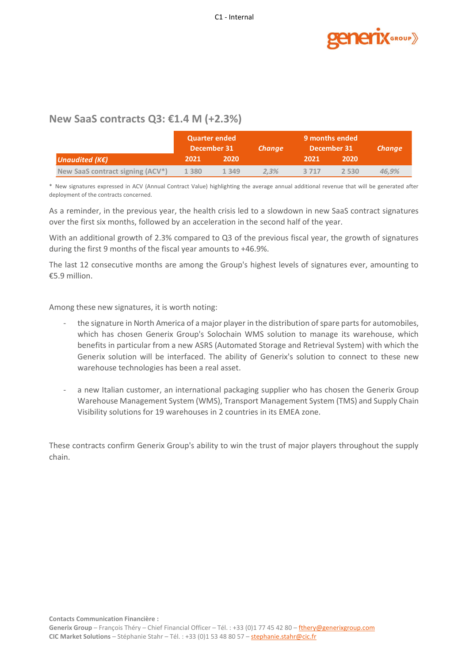

### **New SaaS contracts Q3: €1.4 M (+2.3%)**

|                                               | <b>Quarter ended</b><br>December 31 |         | <b>Change</b> | 9 months ended<br>December 31 |         | <b>Change</b> |
|-----------------------------------------------|-------------------------------------|---------|---------------|-------------------------------|---------|---------------|
| Unaudited (K $\epsilon$ )                     | 2021                                | 2020    |               | 2021                          | 2020    |               |
| New SaaS contract signing (ACV <sup>*</sup> ) | 1 3 8 0                             | 1 3 4 9 | 2.3%          | 3 7 1 7                       | 2 5 3 0 | 46.9%         |

\* New signatures expressed in ACV (Annual Contract Value) highlighting the average annual additional revenue that will be generated after deployment of the contracts concerned.

As a reminder, in the previous year, the health crisis led to a slowdown in new SaaS contract signatures over the first six months, followed by an acceleration in the second half of the year.

With an additional growth of 2.3% compared to Q3 of the previous fiscal year, the growth of signatures during the first 9 months of the fiscal year amounts to +46.9%.

The last 12 consecutive months are among the Group's highest levels of signatures ever, amounting to €5.9 million.

Among these new signatures, it is worth noting:

- the signature in North America of a major player in the distribution of spare parts for automobiles, which has chosen Generix Group's Solochain WMS solution to manage its warehouse, which benefits in particular from a new ASRS (Automated Storage and Retrieval System) with which the Generix solution will be interfaced. The ability of Generix's solution to connect to these new warehouse technologies has been a real asset.
- a new Italian customer, an international packaging supplier who has chosen the Generix Group Warehouse Management System (WMS), Transport Management System (TMS) and Supply Chain Visibility solutions for 19 warehouses in 2 countries in its EMEA zone.

These contracts confirm Generix Group's ability to win the trust of major players throughout the supply chain.